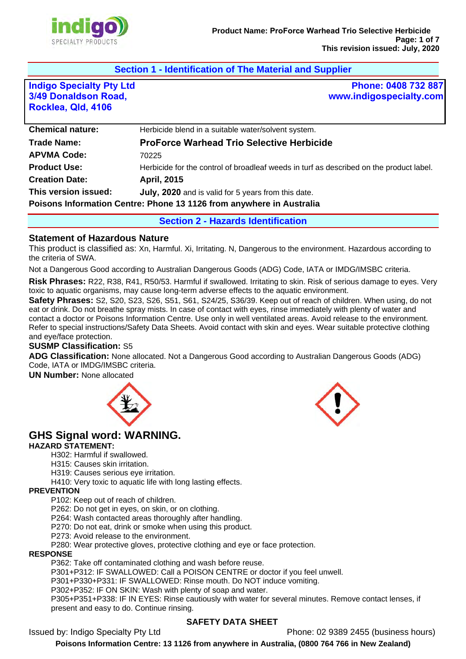

# **Section 1 - Identification of The Material and Supplier**

**Indigo Specialty Pty Ltd 3/49 Donaldson Road, Rocklea, Qld, 4106**

**Phone: 0408 732 887 www.indigospecialty.com**

| <b>Chemical nature:</b>                                              | Herbicide blend in a suitable water/solvent system.                                     |  |
|----------------------------------------------------------------------|-----------------------------------------------------------------------------------------|--|
| <b>Trade Name:</b>                                                   | <b>ProForce Warhead Trio Selective Herbicide</b>                                        |  |
| <b>APVMA Code:</b>                                                   | 70225                                                                                   |  |
| <b>Product Use:</b>                                                  | Herbicide for the control of broadleaf weeds in turf as described on the product label. |  |
| <b>Creation Date:</b>                                                | <b>April, 2015</b>                                                                      |  |
| This version issued:                                                 | July, 2020 and is valid for 5 years from this date.                                     |  |
| Poisons Information Centre: Phone 13 1126 from anywhere in Australia |                                                                                         |  |

**Section 2 - Hazards Identification** 

#### **Statement of Hazardous Nature**

This product is classified as: Xn, Harmful. Xi, Irritating. N, Dangerous to the environment. Hazardous according to the criteria of SWA.

Not a Dangerous Good according to Australian Dangerous Goods (ADG) Code, IATA or IMDG/IMSBC criteria.

**Risk Phrases:** R22, R38, R41, R50/53. Harmful if swallowed. Irritating to skin. Risk of serious damage to eyes. Very toxic to aquatic organisms, may cause long-term adverse effects to the aquatic environment.

**Safety Phrases:** S2, S20, S23, S26, S51, S61, S24/25, S36/39. Keep out of reach of children. When using, do not eat or drink. Do not breathe spray mists. In case of contact with eyes, rinse immediately with plenty of water and contact a doctor or Poisons Information Centre. Use only in well ventilated areas. Avoid release to the environment. Refer to special instructions/Safety Data Sheets. Avoid contact with skin and eyes. Wear suitable protective clothing and eye/face protection.

#### **SUSMP Classification:** S5

**ADG Classification:** None allocated. Not a Dangerous Good according to Australian Dangerous Goods (ADG) Code, IATA or IMDG/IMSBC criteria.

**UN Number:** None allocated



# **GHS Signal word: WARNING.**

#### **HAZARD STATEMENT:**

H302: Harmful if swallowed.

H315: Causes skin irritation.

H319: Causes serious eye irritation.

H410: Very toxic to aquatic life with long lasting effects.

#### **PREVENTION**

P102: Keep out of reach of children.

P262: Do not get in eyes, on skin, or on clothing.

P264: Wash contacted areas thoroughly after handling.

P270: Do not eat, drink or smoke when using this product.

P273: Avoid release to the environment.

P280: Wear protective gloves, protective clothing and eye or face protection.

#### **RESPONSE**

P362: Take off contaminated clothing and wash before reuse.

P301+P312: IF SWALLOWED: Call a POISON CENTRE or doctor if you feel unwell.

P301+P330+P331: IF SWALLOWED: Rinse mouth. Do NOT induce vomiting.

P302+P352: IF ON SKIN: Wash with plenty of soap and water.

P305+P351+P338: IF IN EYES: Rinse cautiously with water for several minutes. Remove contact lenses, if present and easy to do. Continue rinsing.

## **SAFETY DATA SHEET**

Issued by: Indigo Specialty Pty Ltd Phone: 02 9389 2455 (business hours)

**Poisons Information Centre: 13 1126 from anywhere in Australia, (0800 764 766 in New Zealand)**

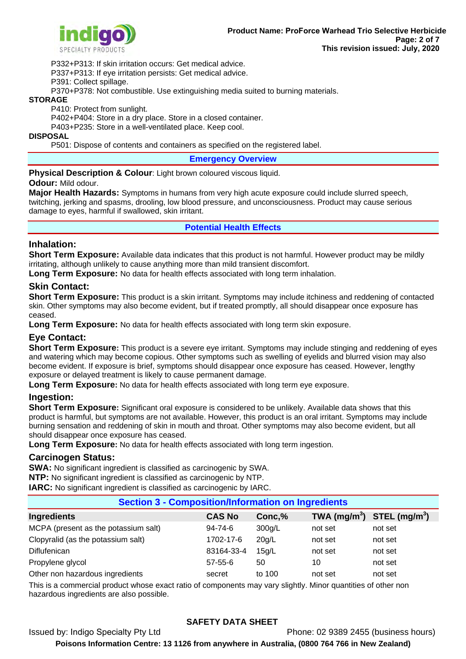

P332+P313: If skin irritation occurs: Get medical advice.

P337+P313: If eye irritation persists: Get medical advice.

P391: Collect spillage.

P370+P378: Not combustible. Use extinguishing media suited to burning materials.

#### **STORAGE**

P410: Protect from sunlight.

P402+P404: Store in a dry place. Store in a closed container.

P403+P235: Store in a well-ventilated place. Keep cool.

#### **DISPOSAL**

P501: Dispose of contents and containers as specified on the registered label.

#### **Emergency Overview**

**Physical Description & Colour:** Light brown coloured viscous liquid.

#### **Odour:** Mild odour.

**Major Health Hazards:** Symptoms in humans from very high acute exposure could include slurred speech, twitching, jerking and spasms, drooling, low blood pressure, and unconsciousness. Product may cause serious damage to eyes, harmful if swallowed, skin irritant.

## **Potential Health Effects**

## **Inhalation:**

**Short Term Exposure:** Available data indicates that this product is not harmful. However product may be mildly irritating, although unlikely to cause anything more than mild transient discomfort.

**Long Term Exposure:** No data for health effects associated with long term inhalation.

## **Skin Contact:**

**Short Term Exposure:** This product is a skin irritant. Symptoms may include itchiness and reddening of contacted skin. Other symptoms may also become evident, but if treated promptly, all should disappear once exposure has ceased.

**Long Term Exposure:** No data for health effects associated with long term skin exposure.

## **Eye Contact:**

**Short Term Exposure:** This product is a severe eye irritant. Symptoms may include stinging and reddening of eyes and watering which may become copious. Other symptoms such as swelling of eyelids and blurred vision may also become evident. If exposure is brief, symptoms should disappear once exposure has ceased. However, lengthy exposure or delayed treatment is likely to cause permanent damage.

**Long Term Exposure:** No data for health effects associated with long term eye exposure.

## **Ingestion:**

**Short Term Exposure:** Significant oral exposure is considered to be unlikely. Available data shows that this product is harmful, but symptoms are not available. However, this product is an oral irritant. Symptoms may include burning sensation and reddening of skin in mouth and throat. Other symptoms may also become evident, but all should disappear once exposure has ceased.

**Long Term Exposure:** No data for health effects associated with long term ingestion.

## **Carcinogen Status:**

**SWA:** No significant ingredient is classified as carcinogenic by SWA.

**NTP:** No significant ingredient is classified as carcinogenic by NTP.

**IARC:** No significant ingredient is classified as carcinogenic by IARC.

## **Section 3 - Composition/Information on Ingredients**

| Ingredients                          | <b>CAS No</b> | Conc,% | TWA (mg/m <sup>3</sup> ) STEL (mg/m <sup>3</sup> ) |         |
|--------------------------------------|---------------|--------|----------------------------------------------------|---------|
| MCPA (present as the potassium salt) | $94 - 74 - 6$ | 300g/L | not set                                            | not set |
| Clopyralid (as the potassium salt)   | 1702-17-6     | 20q/L  | not set                                            | not set |
| Diflufenican                         | 83164-33-4    | 15q/L  | not set                                            | not set |
| Propylene glycol                     | $57 - 55 - 6$ | 50     | 10                                                 | not set |
| Other non hazardous ingredients      | secret        | to 100 | not set                                            | not set |

This is a commercial product whose exact ratio of components may vary slightly. Minor quantities of other non hazardous ingredients are also possible.

## **SAFETY DATA SHEET**

Issued by: Indigo Specialty Pty Ltd Phone: 02 9389 2455 (business hours)

**Poisons Information Centre: 13 1126 from anywhere in Australia, (0800 764 766 in New Zealand)**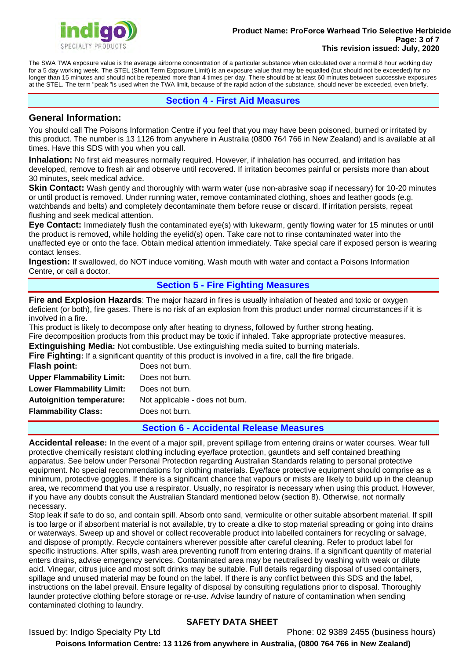

#### **Product Name: ProForce Warhead Trio Selective Herbicide Page: 3 of 7 This revision issued: July, 2020**

The SWA TWA exposure value is the average airborne concentration of a particular substance when calculated over a normal 8 hour working day for a 5 day working week. The STEL (Short Term Exposure Limit) is an exposure value that may be equalled (but should not be exceeded) for no longer than 15 minutes and should not be repeated more than 4 times per day. There should be at least 60 minutes between successive exposures at the STEL. The term "peak "is used when the TWA limit, because of the rapid action of the substance, should never be exceeded, even briefly.

## **Section 4 - First Aid Measures**

## **General Information:**

You should call The Poisons Information Centre if you feel that you may have been poisoned, burned or irritated by this product. The number is 13 1126 from anywhere in Australia (0800 764 766 in New Zealand) and is available at all times. Have this SDS with you when you call.

**Inhalation:** No first aid measures normally required. However, if inhalation has occurred, and irritation has developed, remove to fresh air and observe until recovered. If irritation becomes painful or persists more than about 30 minutes, seek medical advice.

**Skin Contact:** Wash gently and thoroughly with warm water (use non-abrasive soap if necessary) for 10-20 minutes or until product is removed. Under running water, remove contaminated clothing, shoes and leather goods (e.g. watchbands and belts) and completely decontaminate them before reuse or discard. If irritation persists, repeat flushing and seek medical attention.

**Eye Contact:** Immediately flush the contaminated eye(s) with lukewarm, gently flowing water for 15 minutes or until the product is removed, while holding the eyelid(s) open. Take care not to rinse contaminated water into the unaffected eye or onto the face. Obtain medical attention immediately. Take special care if exposed person is wearing contact lenses.

**Ingestion:** If swallowed, do NOT induce vomiting. Wash mouth with water and contact a Poisons Information Centre, or call a doctor.

# **Section 5 - Fire Fighting Measures**

**Fire and Explosion Hazards**: The major hazard in fires is usually inhalation of heated and toxic or oxygen deficient (or both), fire gases. There is no risk of an explosion from this product under normal circumstances if it is involved in a fire.

This product is likely to decompose only after heating to dryness, followed by further strong heating. Fire decomposition products from this product may be toxic if inhaled. Take appropriate protective measures.

**Extinguishing Media:** Not combustible. Use extinguishing media suited to burning materials. **Fighting**<br>**Fire Finhting:** If a significant quantity of this product is involved in a fire, call the fire brigade.

|                                  | <b>Fire Fighting:</b> ii a significant quantity of this product is involved |
|----------------------------------|-----------------------------------------------------------------------------|
| <b>Flash point:</b>              | Does not burn.                                                              |
| <b>Upper Flammability Limit:</b> | Does not burn.                                                              |
| <b>Lower Flammability Limit:</b> | Does not burn.                                                              |
| <b>Autoignition temperature:</b> | Not applicable - does not burn.                                             |
| <b>Flammability Class:</b>       | Does not burn.                                                              |
|                                  |                                                                             |

## **Section 6 - Accidental Release Measures**

**Accidental release:** In the event of a major spill, prevent spillage from entering drains or water courses. Wear full protective chemically resistant clothing including eye/face protection, gauntlets and self contained breathing apparatus. See below under Personal Protection regarding Australian Standards relating to personal protective equipment. No special recommendations for clothing materials. Eye/face protective equipment should comprise as a minimum, protective goggles. If there is a significant chance that vapours or mists are likely to build up in the cleanup area, we recommend that you use a respirator. Usually, no respirator is necessary when using this product. However, if you have any doubts consult the Australian Standard mentioned below (section 8). Otherwise, not normally necessary.

Stop leak if safe to do so, and contain spill. Absorb onto sand, vermiculite or other suitable absorbent material. If spill is too large or if absorbent material is not available, try to create a dike to stop material spreading or going into drains or waterways. Sweep up and shovel or collect recoverable product into labelled containers for recycling or salvage, and dispose of promptly. Recycle containers wherever possible after careful cleaning. Refer to product label for specific instructions. After spills, wash area preventing runoff from entering drains. If a significant quantity of material enters drains, advise emergency services. Contaminated area may be neutralised by washing with weak or dilute acid. Vinegar, citrus juice and most soft drinks may be suitable. Full details regarding disposal of used containers, spillage and unused material may be found on the label. If there is any conflict between this SDS and the label, instructions on the label prevail. Ensure legality of disposal by consulting regulations prior to disposal. Thoroughly launder protective clothing before storage or re-use. Advise laundry of nature of contamination when sending contaminated clothing to laundry.

# **SAFETY DATA SHEET**

Issued by: Indigo Specialty Pty Ltd Phone: 02 9389 2455 (business hours)

**Poisons Information Centre: 13 1126 from anywhere in Australia, (0800 764 766 in New Zealand)**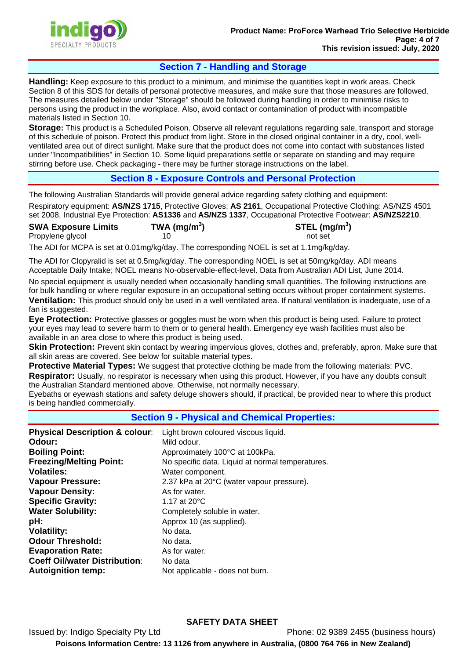

# **Section 7 - Handling and Storage**

**Handling:** Keep exposure to this product to a minimum, and minimise the quantities kept in work areas. Check Section 8 of this SDS for details of personal protective measures, and make sure that those measures are followed. The measures detailed below under "Storage" should be followed during handling in order to minimise risks to persons using the product in the workplace. Also, avoid contact or contamination of product with incompatible materials listed in Section 10.

**Storage:** This product is a Scheduled Poison. Observe all relevant regulations regarding sale, transport and storage of this schedule of poison. Protect this product from light. Store in the closed original container in a dry, cool, wellventilated area out of direct sunlight. Make sure that the product does not come into contact with substances listed under "Incompatibilities" in Section 10. Some liquid preparations settle or separate on standing and may require stirring before use. Check packaging - there may be further storage instructions on the label.

## **Section 8 - Exposure Controls and Personal Protection**

The following Australian Standards will provide general advice regarding safety clothing and equipment:

Respiratory equipment: **AS/NZS 1715**, Protective Gloves: **AS 2161**, Occupational Protective Clothing: AS/NZS 4501 set 2008, Industrial Eye Protection: **AS1336** and **AS/NZS 1337**, Occupational Protective Footwear: **AS/NZS2210**.

| <b>SWA Exposure Limits</b> | TWA (mg/m <sup>3</sup> ) | STEL (mg/m <sup>3</sup> ) |
|----------------------------|--------------------------|---------------------------|
| Propylene glycol           |                          | not set                   |

The ADI for MCPA is set at 0.01mg/kg/day. The corresponding NOEL is set at 1.1mg/kg/day.

The ADI for Clopyralid is set at 0.5mg/kg/day. The corresponding NOEL is set at 50mg/kg/day. ADI means Acceptable Daily Intake; NOEL means No-observable-effect-level. Data from Australian ADI List, June 2014.

No special equipment is usually needed when occasionally handling small quantities. The following instructions are for bulk handling or where regular exposure in an occupational setting occurs without proper containment systems. **Ventilation:** This product should only be used in a well ventilated area. If natural ventilation is inadequate, use of a fan is suggested.

**Eye Protection:** Protective glasses or goggles must be worn when this product is being used. Failure to protect your eyes may lead to severe harm to them or to general health. Emergency eye wash facilities must also be available in an area close to where this product is being used.

**Skin Protection:** Prevent skin contact by wearing impervious gloves, clothes and, preferably, apron. Make sure that all skin areas are covered. See below for suitable material types.

**Protective Material Types:** We suggest that protective clothing be made from the following materials: PVC. **Respirator:** Usually, no respirator is necessary when using this product. However, if you have any doubts consult the Australian Standard mentioned above. Otherwise, not normally necessary.

Eyebaths or eyewash stations and safety deluge showers should, if practical, be provided near to where this product is being handled commercially.

#### **Section 9 - Physical and Chemical Properties:**

| <b>Physical Description &amp; colour:</b><br>Odour:<br><b>Boiling Point:</b> | Light brown coloured viscous liquid.<br>Mild odour.<br>Approximately 100°C at 100kPa. |
|------------------------------------------------------------------------------|---------------------------------------------------------------------------------------|
| <b>Freezing/Melting Point:</b>                                               | No specific data. Liquid at normal temperatures.                                      |
| <b>Volatiles:</b>                                                            | Water component.                                                                      |
| <b>Vapour Pressure:</b>                                                      | 2.37 kPa at 20°C (water vapour pressure).                                             |
| <b>Vapour Density:</b>                                                       | As for water.                                                                         |
| <b>Specific Gravity:</b>                                                     | 1.17 at 20°C                                                                          |
| <b>Water Solubility:</b>                                                     | Completely soluble in water.                                                          |
| pH:                                                                          | Approx 10 (as supplied).                                                              |
| <b>Volatility:</b>                                                           | No data.                                                                              |
| <b>Odour Threshold:</b>                                                      | No data.                                                                              |
| <b>Evaporation Rate:</b>                                                     | As for water.                                                                         |
| <b>Coeff Oil/water Distribution:</b>                                         | No data                                                                               |
| <b>Autoignition temp:</b>                                                    | Not applicable - does not burn.                                                       |

## **SAFETY DATA SHEET**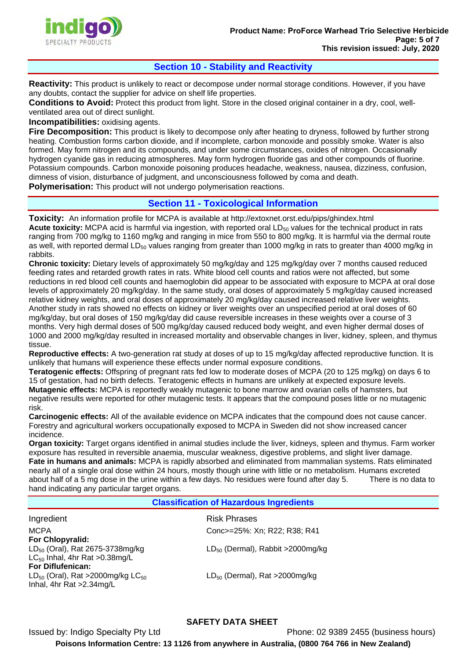

# **Section 10 - Stability and Reactivity**

**Reactivity:** This product is unlikely to react or decompose under normal storage conditions. However, if you have any doubts, contact the supplier for advice on shelf life properties.

**Conditions to Avoid:** Protect this product from light. Store in the closed original container in a dry, cool, wellventilated area out of direct sunlight.

**Incompatibilities:** oxidising agents.

**Fire Decomposition:** This product is likely to decompose only after heating to dryness, followed by further strong heating. Combustion forms carbon dioxide, and if incomplete, carbon monoxide and possibly smoke. Water is also formed. May form nitrogen and its compounds, and under some circumstances, oxides of nitrogen. Occasionally hydrogen cyanide gas in reducing atmospheres. May form hydrogen fluoride gas and other compounds of fluorine. Potassium compounds. Carbon monoxide poisoning produces headache, weakness, nausea, dizziness, confusion, dimness of vision, disturbance of judgment, and unconsciousness followed by coma and death.

**Polymerisation:** This product will not undergo polymerisation reactions.

## **Section 11 - Toxicological Information**

**Toxicity:** An information profile for MCPA is available at http://extoxnet.orst.edu/pips/ghindex.html **Acute toxicity:** MCPA acid is harmful via ingestion, with reported oral LD<sub>50</sub> values for the technical product in rats ranging from 700 mg/kg to 1160 mg/kg and ranging in mice from 550 to 800 mg/kg. It is harmful via the dermal route as well, with reported dermal LD<sub>50</sub> values ranging from greater than 1000 mg/kg in rats to greater than 4000 mg/kg in rabbits.

**Chronic toxicity:** Dietary levels of approximately 50 mg/kg/day and 125 mg/kg/day over 7 months caused reduced feeding rates and retarded growth rates in rats. White blood cell counts and ratios were not affected, but some reductions in red blood cell counts and haemoglobin did appear to be associated with exposure to MCPA at oral dose levels of approximately 20 mg/kg/day. In the same study, oral doses of approximately 5 mg/kg/day caused increased relative kidney weights, and oral doses of approximately 20 mg/kg/day caused increased relative liver weights. Another study in rats showed no effects on kidney or liver weights over an unspecified period at oral doses of 60 mg/kg/day, but oral doses of 150 mg/kg/day did cause reversible increases in these weights over a course of 3 months. Very high dermal doses of 500 mg/kg/day caused reduced body weight, and even higher dermal doses of 1000 and 2000 mg/kg/day resulted in increased mortality and observable changes in liver, kidney, spleen, and thymus tissue.

**Reproductive effects:** A two-generation rat study at doses of up to 15 mg/kg/day affected reproductive function. It is unlikely that humans will experience these effects under normal exposure conditions.

**Teratogenic effects:** Offspring of pregnant rats fed low to moderate doses of MCPA (20 to 125 mg/kg) on days 6 to 15 of gestation, had no birth defects. Teratogenic effects in humans are unlikely at expected exposure levels. **Mutagenic effects:** MCPA is reportedly weakly mutagenic to bone marrow and ovarian cells of hamsters, but negative results were reported for other mutagenic tests. It appears that the compound poses little or no mutagenic risk.

**Carcinogenic effects:** All of the available evidence on MCPA indicates that the compound does not cause cancer. Forestry and agricultural workers occupationally exposed to MCPA in Sweden did not show increased cancer incidence.

**Organ toxicity:** Target organs identified in animal studies include the liver, kidneys, spleen and thymus. Farm worker exposure has resulted in reversible anaemia, muscular weakness, digestive problems, and slight liver damage. **Fate in humans and animals:** MCPA is rapidly absorbed and eliminated from mammalian systems. Rats eliminated nearly all of a single oral dose within 24 hours, mostly though urine with little or no metabolism. Humans excreted about half of a 5 mg dose in the urine within a few days. No residues were found after day 5. There is no data to hand indicating any particular target organs.

#### **Classification of Hazardous Ingredients**

Risk Phrases Conc>=25%: Xn; R22; R38; R41  $LD_{50}$  (Dermal), Rabbit >2000mg/kg  $LD_{50}$  (Dermal), Rat >2000mg/kg **Ingredient MCPA For Chlopyralid:**   $LD_{50}$  (Oral), Rat 2675-3738mg/kg  $LC_{50}$  Inhal, 4hr Rat > 0.38 mg/L **For Diflufenican:**   $LD_{50}$  (Oral), Rat >2000mg/kg  $LC_{50}$ Inhal, 4hr Rat >2.34mg/L

# **SAFETY DATA SHEET**

Phone: 02 9389 2455 (business hours) **Poisons Information Centre: 13 1126 from anywhere in Australia, (0800 764 766 in New Zealand)** Issued by: Indigo Specialty Pty Ltd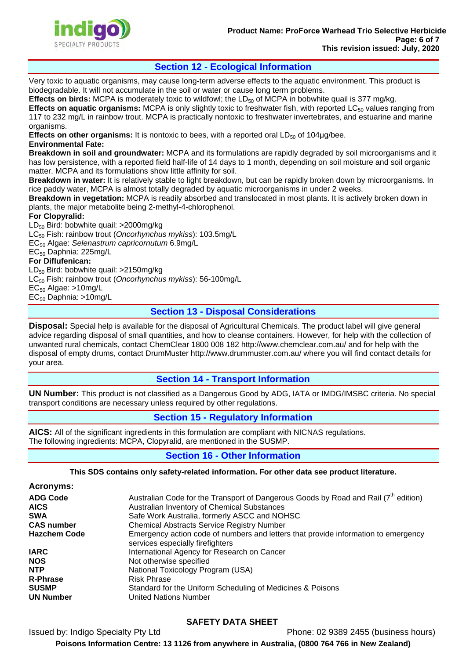## **Section 12 - Ecological Information**

Very toxic to aquatic organisms, may cause long-term adverse effects to the aquatic environment. This product is biodegradable. It will not accumulate in the soil or water or cause long term problems.

**Effects on birds:** MCPA is moderately toxic to wildfowl; the LD<sub>50</sub> of MCPA in bobwhite quail is 377 mg/kg. **Effects on aquatic organisms:** MCPA is only slightly toxic to freshwater fish, with reported LC<sub>50</sub> values ranging from 117 to 232 mg/L in rainbow trout. MCPA is practically nontoxic to freshwater invertebrates, and estuarine and marine organisms.

**Effects on other organisms:** It is nontoxic to bees, with a reported oral LD<sub>50</sub> of 104µg/bee. **Environmental Fate:** 

**Breakdown in soil and groundwater:** MCPA and its formulations are rapidly degraded by soil microorganisms and it has low persistence, with a reported field half-life of 14 days to 1 month, depending on soil moisture and soil organic matter. MCPA and its formulations show little affinity for soil.

**Breakdown in water:** It is relatively stable to light breakdown, but can be rapidly broken down by microorganisms. In rice paddy water, MCPA is almost totally degraded by aquatic microorganisms in under 2 weeks.

**Breakdown in vegetation:** MCPA is readily absorbed and translocated in most plants. It is actively broken down in plants, the major metabolite being 2-methyl-4-chlorophenol.

**For Clopyralid:** 

LD<sub>50</sub> Bird: bobwhite quail: >2000mg/kg LC50 Fish: rainbow trout (*Oncorhynchus mykiss*): 103.5mg/L EC50 Algae: *Selenastrum capricornutum* 6.9mg/L EC<sub>50</sub> Daphnia: 225mg/L **For Diflufenican:**  LD50 Bird: bobwhite quail: >2150mg/kg LC50 Fish: rainbow trout (*Oncorhynchus mykiss*): 56-100mg/L

 $EC_{50}$  Algae: >10mg/L

 $EC_{50}$  Daphnia: >10mg/L

# **Section 13 - Disposal Considerations**

**Disposal:** Special help is available for the disposal of Agricultural Chemicals. The product label will give general advice regarding disposal of small quantities, and how to cleanse containers. However, for help with the collection of unwanted rural chemicals, contact ChemClear 1800 008 182 http://www.chemclear.com.au/ and for help with the disposal of empty drums, contact DrumMuster http://www.drummuster.com.au/ where you will find contact details for your area.

# **Section 14 - Transport Information**

**UN Number:** This product is not classified as a Dangerous Good by ADG, IATA or IMDG/IMSBC criteria. No special transport conditions are necessary unless required by other regulations.

# **Section 15 - Regulatory Information**

**AICS:** All of the significant ingredients in this formulation are compliant with NICNAS regulations. The following ingredients: MCPA, Clopyralid, are mentioned in the SUSMP.

## **Section 16 - Other Information**

**This SDS contains only safety-related information. For other data see product literature.** 

| <b>Acronyms:</b>    |                                                                                                                        |
|---------------------|------------------------------------------------------------------------------------------------------------------------|
| <b>ADG Code</b>     | Australian Code for the Transport of Dangerous Goods by Road and Rail $(7^{\text{th}})$ edition)                       |
| <b>AICS</b>         | Australian Inventory of Chemical Substances                                                                            |
| <b>SWA</b>          | Safe Work Australia, formerly ASCC and NOHSC                                                                           |
| <b>CAS number</b>   | <b>Chemical Abstracts Service Registry Number</b>                                                                      |
| <b>Hazchem Code</b> | Emergency action code of numbers and letters that provide information to emergency<br>services especially firefighters |
| <b>IARC</b>         | International Agency for Research on Cancer                                                                            |
| <b>NOS</b>          | Not otherwise specified                                                                                                |
| <b>NTP</b>          | National Toxicology Program (USA)                                                                                      |
| <b>R-Phrase</b>     | <b>Risk Phrase</b>                                                                                                     |
| <b>SUSMP</b>        | Standard for the Uniform Scheduling of Medicines & Poisons                                                             |
| <b>UN Number</b>    | United Nations Number                                                                                                  |

# **SAFETY DATA SHEET**

Issued by: Indigo Specialty Pty Ltd Phone: 02 9389 2455 (business hours) **Poisons Information Centre: 13 1126 from anywhere in Australia, (0800 764 766 in New Zealand)**